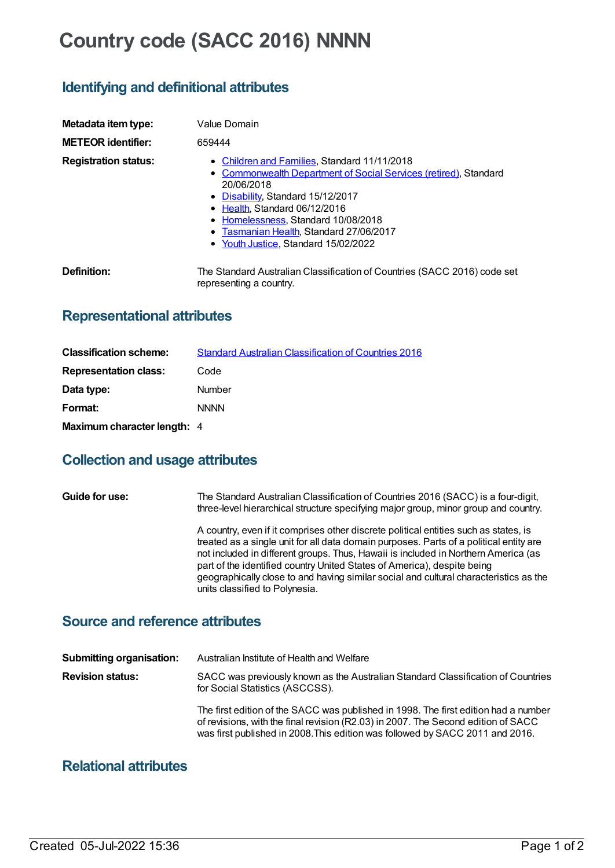# **Country code (SACC 2016) NNNN**

## **Identifying and definitional attributes**

| Metadata item type:         | Value Domain                                                                                                                                                                                                                                                                                                                           |
|-----------------------------|----------------------------------------------------------------------------------------------------------------------------------------------------------------------------------------------------------------------------------------------------------------------------------------------------------------------------------------|
| <b>METEOR identifier:</b>   | 659444                                                                                                                                                                                                                                                                                                                                 |
| <b>Registration status:</b> | • Children and Families, Standard 11/11/2018<br>• Commonwealth Department of Social Services (retired), Standard<br>20/06/2018<br>• Disability, Standard 15/12/2017<br>$\bullet$ Health. Standard 06/12/2016<br>• Homelessness, Standard 10/08/2018<br>• Tasmanian Health, Standard 27/06/2017<br>• Youth Justice, Standard 15/02/2022 |
| Definition:                 | The Standard Australian Classification of Countries (SACC 2016) code set<br>representing a country.                                                                                                                                                                                                                                    |

# **Representational attributes**

| <b>Classification scheme:</b> | <b>Standard Australian Classification of Countries 2016</b> |
|-------------------------------|-------------------------------------------------------------|
| <b>Representation class:</b>  | Code                                                        |
| Data type:                    | <b>Number</b>                                               |
| Format:                       | <b>NNNN</b>                                                 |
| Maximum character length: 4   |                                                             |

## **Collection and usage attributes**

| Guide for use: | The Standard Australian Classification of Countries 2016 (SACC) is a four-digit,<br>three-level hierarchical structure specifying major group, minor group and country.                                                                                                                                                                                                                                                                                                    |
|----------------|----------------------------------------------------------------------------------------------------------------------------------------------------------------------------------------------------------------------------------------------------------------------------------------------------------------------------------------------------------------------------------------------------------------------------------------------------------------------------|
|                | A country, even if it comprises other discrete political entities such as states, is<br>treated as a single unit for all data domain purposes. Parts of a political entity are<br>not included in different groups. Thus, Hawaii is included in Northern America (as<br>part of the identified country United States of America), despite being<br>geographically close to and having similar social and cultural characteristics as the<br>units classified to Polynesia. |

#### **Source and reference attributes**

| <b>Submitting organisation:</b> | Australian Institute of Health and Welfare                                                                                                                                                                                                                |
|---------------------------------|-----------------------------------------------------------------------------------------------------------------------------------------------------------------------------------------------------------------------------------------------------------|
| <b>Revision status:</b>         | SACC was previously known as the Australian Standard Classification of Countries<br>for Social Statistics (ASCCSS).                                                                                                                                       |
|                                 | The first edition of the SACC was published in 1998. The first edition had a number<br>of revisions, with the final revision (R2.03) in 2007. The Second edition of SACC<br>was first published in 2008. This edition was followed by SACC 2011 and 2016. |

#### **Relational attributes**